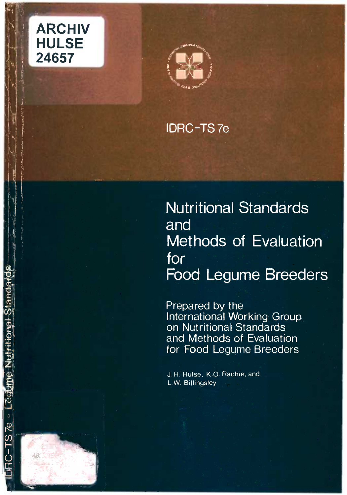

C-TS7e · Legune Nutritional Standards



# **IDRC-TS7e**

# Nutritional Standards and Methods of Evaluation for Food Legume Breeders

Prepared by the International Working Group on Nutritional Standards and Methods of Evaluation for Food Legume Breeders

J.H. Hulse, K.O. Rachie, and LW. Billingsley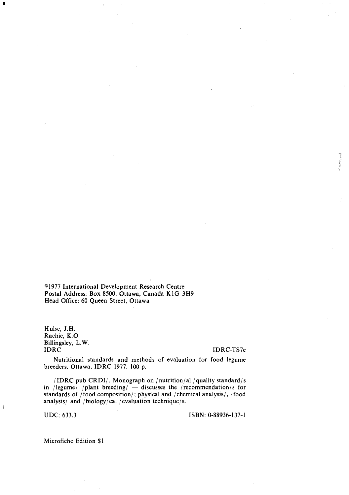l977 International Development Research Centre Postal Address: Box 8500, Ottawa, Canada K1G 3H9 Head Office: 60 Queen Street, Ottawa

Hulse, J.H. Rachie, K.O. Billingsley, L.W.

**I** and the

### IDRC IDRC-TS7e

Nutritional standards and methods of evaluation for food legume breeders. Ottawa, IDRC 1977. 100 p.

/IDRC pub CRDI/. Monograph on /nutrition/al /quality standard/s in /legume/ /plant breeding/ $-$  discusses the /recommendation/s for standards of /food composition/; physical and /chemical analysis/, /food analysis/ and / biology/cal / evaluation technique/s.

ĵ

UDC: 633.3 ISBN: 0-88936-137-1

Microfiche Edition \$1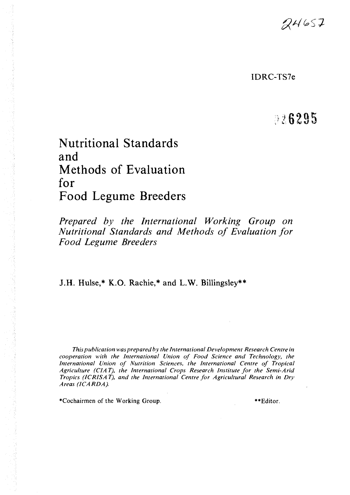$24657$ 

IDRC-TS7e

# 826295

# Nutritional Standards and Methods of Evaluation for Food Legume Breeders

Prepared by the International Working Group on Nutritional Standards and Methods of Evaluation for Food Legume Breeders

J.H. Hulse,\* K.O. Rachie,\* and L.W. Billingsley\*\*

This publication was prepared by the International Development Research Centre in cooperation with the International Union of Food Science and Technology, the International Union of Nutrition Sciences, the International Centre of Tropical Agriculture (CIA T), the International Crops Research Institute for the Semi-Arid Tropics (ICRISAT), and the International Centre for Agricultural Research in Dry Areas (ICARDA).

\*Cochairmen of the Working Group. \*\*Edjtor.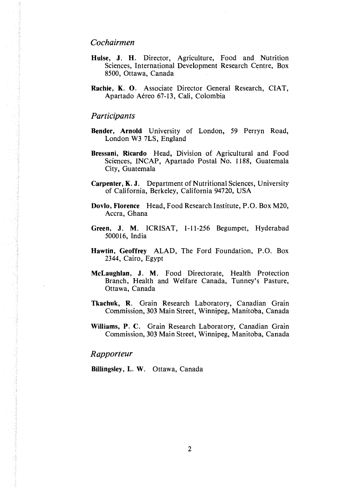### Cochairmen

- Hulse, J. H. Director, Agriculture, Food and Nutrition Sciences, International Development Research Centre, Box 8500, Ottawa, Canada
- Rachie, K. 0. Associate Director General Research, CIAT, Apartado Aéreo 67-13, Cali, Colombia

### **Participants**

- Bender, Arnold University of London, 59 Perryn Road, London W3 7LS, England
- Bressani, Ricardo Head, Division of Agricultural and Food Sciences, INCAP, Apartado Postal No. 1188, Guatemala City, Guatemala
- Carpenter, K. J. Department of Nutritional Sciences, University of California, Berkeley, California 94720, USA
- Dovlo, Florence Head, Food Research Institute, P.O. Box M20, Accra, Ghana
- Green, J. M. ICRISAT, 1-11-256 Begumpet, Hyderabad 500016, India
- Hawtin, Geoffrey ALAD, The Ford Foundation, P.O. Box 2344, Cairo, Egypt
- McLaughlan, J. M. Food Directorate, Health Protection Branch, Health and Welfare Canada, Tunney's Pasture, Ottawa, Canada
- Tkachuk, R. Grain Research Laboratory, Canadian Grain Commission, 303 Main Street, Winnipeg, Manitoba, Canada
- Williams, P. C. Grain Research Laboratory, Canadian Grain Commission, 303 Main Street, Winnipeg, Manitoba, Canada

#### Rapporteur

Billingsley, L. W. Ottawa, Canada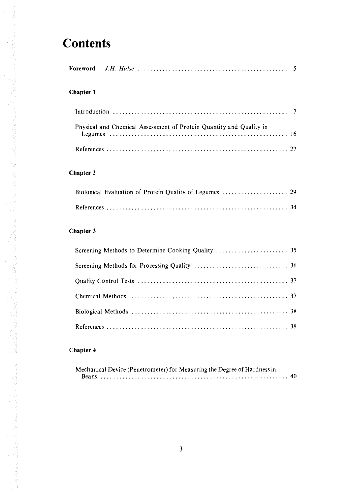# **Contents**

| Foreword |  |  |  |
|----------|--|--|--|
|----------|--|--|--|

## Chapter 1

| Physical and Chemical Assessment of Protein Quantity and Quality in |  |
|---------------------------------------------------------------------|--|
|                                                                     |  |

# Chapter 2

## Chapter 3

# Chapter 4

| Mechanical Device (Penetrometer) for Measuring the Degree of Hardness in |  |
|--------------------------------------------------------------------------|--|
|                                                                          |  |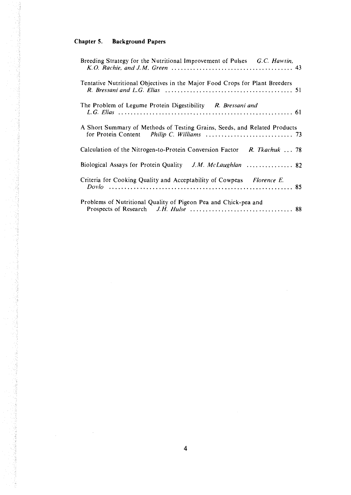# Chapter 5. Background Papers

在这个时间,我们就是一个人的人,我们的人们,我们的人们的人们,我们们的人们,我们的人们的人们,我们的人们的人们的人们的人们的人们的人们的人们,我们的人们的人们的人

Š

| Breeding Strategy for the Nutritional Improvement of Pulses G.C. Hawtin,    |
|-----------------------------------------------------------------------------|
| Tentative Nutritional Objectives in the Major Food Crops for Plant Breeders |
| The Problem of Legume Protein Digestibility R. Bressani and                 |
| A Short Summary of Methods of Testing Grains, Seeds, and Related Products   |
| Calculation of the Nitrogen-to-Protein Conversion Factor R. Tkachuk  78     |
|                                                                             |
| Criteria for Cooking Quality and Acceptability of Cowpeas Florence E.       |
| Problems of Nutritional Quality of Pigeon Pea and Chick-pea and             |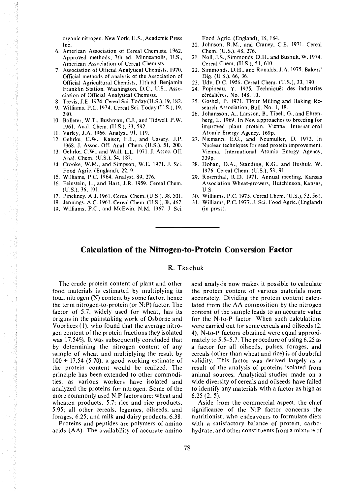organic nitrogen. New York, U.S., Academic Press Inc.

- American Association of Cereal Chemists. 1962. Approved methods, 7th ed. Minneapolis, U.S., American Association of Cereal Chemists.
- Association of Official Analytical Chemists. 1970. Official methods of analysis of the Association of Official Agricultural Chemists, 11th ed. Benjamin Franklin Station, Washington, D.C., U.S., Association of Official Analytical Chemists.
- Trevis, J.E. 1974. Cereal Sci. Today(U.S.), 19, 182,
- Williams, P.C. 1974. Cereal Sci. Today (U.S.), 19, 280.
- JO. Bolleter, W.T., Bushman, C.J., and Tidwell, P.W. 1961. Anal. Chem. (U.S.), 33, 592.
- II. Varley, J.A. 1966. Analyst, 91, 119.
- 12. Gehrke, C.W., Kaiser, F.E., and Ussary, J.P. 1968. J. Assoc. Off. Anal. Chem. (U.S.), 51, 200.
- Gehrke, C.W., and Wall, L.L. 1971. J. Assoc. Off. Anal. Chem. (U.S.), 54, 187.
- 14. Crooke, W.M., and Simpson, W.E. 1971. J. Sci. Food Agric. (England), 22, 9.
- Williams, P.C. 1964. Analyst, 89, 276.
- 16. Feinstein, L., and Hart, J.R. 1959. Cereal Chem. (U.S.), 36, 191.
- 17. Pinckney, A.J. 1961. Cereal Chem. (U.S.), 38, 501.
- 18. Jennings, A.C. 1961. Cereal Chem. (U.S.), 38, 467.
- Williams, P.C., and McEwin, N.M. 1967. J. Sci.

Food Agric. (England), 18, 184.

- 20. Johnson, R.M., and Craney, C.E. 1971. Cereal Chem. (U.S.), 48, 276.
- 21. Noll, J.S., Simmonds, D.H., and Bushuk, W. 1974. Cereal Chem. (U.S.), 51, 610.
- 22. Simmonds, D.H., and Ronalds, J.A. 1975. Bakers' Dig. (U.S.), 66, 36.
- Udy, D.C. 1956. Cereal Chem. (U.S.), 33, 190.
- 24. Popineau, Y. 1975. Techniques des industries céréalières, No. 148, 10.
- Gosbel, P. 1971, Flour Milling and Baking Research Association, Bull. No. I, 18.
- 26. Johansson, A., Larsson, B., Tibell, G., and Ehrenberg, L. 1969. In New approaches to breeding for improved plant protein. Vienna, International Atomic Energy Agency. l69p.
- 27. Niemann, E.G., and Neumuller, D. 1973. In Nuclear techniques for seed protein improvement. Vienna, International Atomic Energy Agency, 339p.
- 28. Dohan, D.A., Standing, K.G., and Bushuk, W. 1976. Cereal Chem. (U.S.), 53, 91.
- 29. Rosenthal, R.D. 1971. Annual meeting, Kansas Association Wheat-growers, Hutchinson, Kansas, U.S.
- Williams, P.C. 1975. Cereal Chem. (U.S.), 52,561.
- Williams, P.C. 1977. J. Sci. Food Agric. (England) (in press).

### Calculation of the Nitrogen-to-Protein Conversion Factor

R. Tkachuk

The crude protein content of plant and other food materials is estimated by multiplying its total nitrogen (N) content by some factor, hence the term nitrogen-to-protein (or N:P) factor. The factor of 5.7, widely used for wheat, has its origins in the painstaking work of Osborne and Voorhees (1), who found that the average nitrogen content of the protein fractions they isolated was 17.54%. It was subsequently concluded that by determining the nitrogen content of any sample of wheat and multiplying the result by  $100 \div 17.54$  (5.70), a good working estimate of the protein content would be realized. The principle has been extended to other commodities, as various workers have isolated and analyzed the proteins for nitrogen. Some of the more commonly used N:P factors are: wheat and wheaten products, 5.7; rice and rice products, 5.95; all other cereals, legumes, oilseeds, and forages, 6.25; and milk and dairy products, 6.38.

Proteins and peptides are polymers of amino acids (AA). The availability of accurate amino acid analysis now makes it possible to calculate the protein content of various materials more accurately. Dividing the protein content calculated from the AA composition by the nitrogen content of the sample leads to an accurate value for the N-to-P factor. When such calculations were carried out for some cereals and oilseeds (2, 4), N-to-P factors obtained were equal approximately to 5.5-5.7. The procedure of using 6.25 as a factor for all oilseeds, pulses, forages, and cereals (other than wheat and rice) is of doubtful validity. This factor was derived largely as a result of the analysis of proteins isolated from animal sources. Analytical studies made on a wide diversity of cereals and oilseeds have failed to identify any materials with a factor as high as 6.25 (2, 5).

Aside from the commercial aspect, the chief significance of the N:P factor concerns the nutritionist, who endeavours to formulate diets with a satisfactory balance of protein, carbohydrate. and other constituents from a mixture of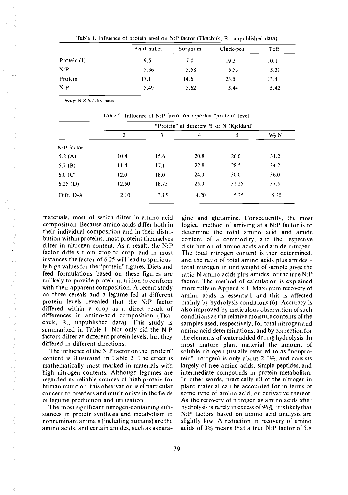| Pearl millet | Sorghum | Chick-pea | Teff |
|--------------|---------|-----------|------|
| 9.5          | 7.0     | 19.3      | 10.1 |
| 5.36         | 5.58    | 5.53      | 5.31 |
| 17.1         | 14.6    | 23.5      | 13.4 |
| 5.49         | 5.62    | 5.44      | 5.42 |
|              |         |           |      |

Table 1. Influence of protein level on N:P factor (Tkachuk, R., unpublished data).

Note:  $N \times 5.7$  dry basis.

Table 2. Influence of N:P factor on reported "protein" level.

|                | "Protein" at different $\%$ of N (Kjeldahl) |       |      |       |         |
|----------------|---------------------------------------------|-------|------|-------|---------|
|                | $\overline{2}$                              | 3     | 4    | 5     | $6\%$ N |
| $N$ : P factor |                                             |       |      |       |         |
| 5.2 $(A)$      | 10.4                                        | 15.6  | 20.8 | 26.0  | 31.2    |
| 5.7 $(B)$      | 11.4                                        | 17.1  | 22.8 | 28.5  | 34.2    |
| 6.0(C)         | 12.0                                        | 18.0  | 24.0 | 30.0  | 36.0    |
| 6.25(D)        | 12.50                                       | 18.75 | 25.0 | 31.25 | 37.5    |
| Diff. D-A      | 2.10                                        | 3.15  | 4.20 | 5.25  | 6.30    |

materials, most of which differ in amino acid composition. Because amino acids differ both in their individual composition and in their distribution within proteins, most proteins themselves differ in nitrogen content. As a result, the N:P factor differs from crop to crop, and in most instances the factor of 6.25 will lead to spuriously high values for the "protein" figures. Diets and feed formulations based on these figures are unlikely to provide protein nutrition to conform with their apparent composition. A recent study on three cereals and a legume fed at different protein levels revealed that the N:P factor differed within a crop as a direct result of differences in amino-acid composition (Tkachuk, R., unpublished data). This study is summarized in Table 1. Not only did the N:P factors differ at different protein levels, but they differed in different directions.

などのことに、このことに、その他に、このことが、その他に、その他に、この子供の人間を見えていることができる。その他に、その子供の人間を見える。 しょうかん こうしょう こうしょう こうしょう アイディスク かんしょう こうしょう こうしょう こうしょう こうしょう

The influence of the N:P factor on the "protein" content is illustrated in Table 2. The effect is mathematically most marked in materials with high nitrogen contents. Although legumes are regarded as reliable sources of high protein for human nutrition, this observation is of particular concern to breeders and nutritionists in the fields of legume production and utilization.

The most significant nitrogen-containing substances in protein synthesis and metabolism in nonruminant animals (including humans) are the amino acids, and certain amides, such as asparagine and glutamine. Consequently, the most logical method of arriving at a N:P factor is to determine the total amino acid and amide content of a commodity, and the respective distribution of amino acids and amide nitrogen. The total nitrogen content is then determined, and the ratio of total amino acids plus amides total nitrogen in unit weight of sample gives the ratio N:amino acids plus amides, or the true N: P factor. The method of calculation is explained more fully in Appendix I. Maximum recovery of amino acids is essential, and this is affected mainly by hydrolysis conditions (6). Accuracy is also improved by meticulous observation of such conditions as the relative moisture contents of the samples used, respectively, for total nitrogen and amino acid determinations, and by correction for the elements of water added during hydrolysis. In most mature plant material the amount of soluble nitrogen (usually referred to as "nonprotein" nitrogen) is only about  $2-3\%$ , and consists largely of free amino acids, simple peptides, and intermediate compounds in protein metabolism. In other words, practically all of the nitrogen in plant material can be accounted for in terms of some type of amino acid, or derivative thereof. As the recovery of nitrogen as amino acids after hydrolysis is rarely in excess of 96%, it is likely that N:P factors based on amino acid analysis are slightly low. A reduction in recovery of amino acids of 3% means that a true N:P factor of 5.8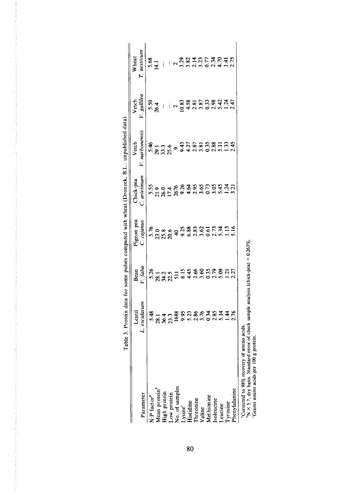|                                                                                                                  | Table 3. Protein data for some pulses compared with wheat (Dronzek, B.L.: unpublished data). |                 |                          |                           |                         |                                                                                      |                                                                                                                                                                                                                                      |
|------------------------------------------------------------------------------------------------------------------|----------------------------------------------------------------------------------------------|-----------------|--------------------------|---------------------------|-------------------------|--------------------------------------------------------------------------------------|--------------------------------------------------------------------------------------------------------------------------------------------------------------------------------------------------------------------------------------|
| Parameter                                                                                                        | L. esculatum<br>Lentil                                                                       | V. faba<br>Bean | Pigeon pea<br>C. cajanus | C. arietinum<br>Chick-pea | V. narbonensis<br>Vetch | V. gallilea<br>Vetch                                                                 | T. aestivum<br>Wheat                                                                                                                                                                                                                 |
| N.P factor <sup>a</sup>                                                                                          |                                                                                              | 5.26            |                          |                           |                         |                                                                                      |                                                                                                                                                                                                                                      |
|                                                                                                                  |                                                                                              |                 | 5.08.98<br>5.23.28       |                           | 54<br>28.3<br>28.25     | $5.50$<br>$26.4$                                                                     | $5.8$<br>$5.4$     $\sqrt{2.36}$ $2.7$ $2.7$ $2.7$ $2.7$ $2.7$ $2.7$ $2.7$ $2.7$ $2.7$ $2.7$ $2.7$ $2.7$ $2.7$ $2.7$ $2.7$ $2.7$ $2.7$ $2.7$ $2.7$ $2.7$ $2.7$ $2.7$ $2.7$ $2.7$ $2.7$ $2.7$ $2.7$ $2.7$ $2.7$ $2.7$ $2.7$ $2.7$ $2$ |
| Mean protein<br>High protein<br>Low protein<br>No. of samples<br>Histidine<br>Histidine<br>Threonine<br>Theonine |                                                                                              |                 |                          |                           |                         | $\pm 1$                                                                              |                                                                                                                                                                                                                                      |
|                                                                                                                  |                                                                                              |                 |                          |                           |                         |                                                                                      |                                                                                                                                                                                                                                      |
|                                                                                                                  |                                                                                              |                 |                          |                           | $\bullet$               |                                                                                      |                                                                                                                                                                                                                                      |
|                                                                                                                  |                                                                                              |                 |                          |                           |                         |                                                                                      |                                                                                                                                                                                                                                      |
|                                                                                                                  |                                                                                              |                 |                          |                           |                         |                                                                                      |                                                                                                                                                                                                                                      |
|                                                                                                                  |                                                                                              |                 |                          |                           |                         |                                                                                      |                                                                                                                                                                                                                                      |
|                                                                                                                  |                                                                                              |                 |                          |                           | 35555881<br>34555881    | $\begin{array}{c}\n 2.838 \\ -0.8381 \\ -0.4330 \\ -0.5330 \\ -0.5384\n \end{array}$ |                                                                                                                                                                                                                                      |
|                                                                                                                  |                                                                                              |                 |                          |                           |                         |                                                                                      |                                                                                                                                                                                                                                      |
|                                                                                                                  |                                                                                              |                 |                          |                           |                         |                                                                                      |                                                                                                                                                                                                                                      |
| Methionine<br>Isoleucine<br>Leucine                                                                              |                                                                                              |                 |                          |                           |                         |                                                                                      |                                                                                                                                                                                                                                      |
| <b>Tyrosine</b>                                                                                                  |                                                                                              |                 |                          |                           |                         |                                                                                      |                                                                                                                                                                                                                                      |
| Phenylalanine                                                                                                    | 8<br>5 1 4 5 8 9 5 5 8 6 7 8 9 1 8 1 8 6 7<br>5 8 9 5 9 0 0 1 9 0 1 9 1 9 1 9                | 1.27            | $\frac{13}{5.16}$        |                           | $\frac{33}{245}$        | $\frac{24}{247}$                                                                     |                                                                                                                                                                                                                                      |
| Corrected to 98% recovery of amino acids.<br>$N \times 5.7$ , dry basis. Standard Grams amino acids per $100$    | d error of check sample analysis (chick-pea) = $0.263\%$ .<br>g protein.                     |                 |                          |                           |                         |                                                                                      |                                                                                                                                                                                                                                      |
|                                                                                                                  |                                                                                              |                 |                          |                           |                         |                                                                                      |                                                                                                                                                                                                                                      |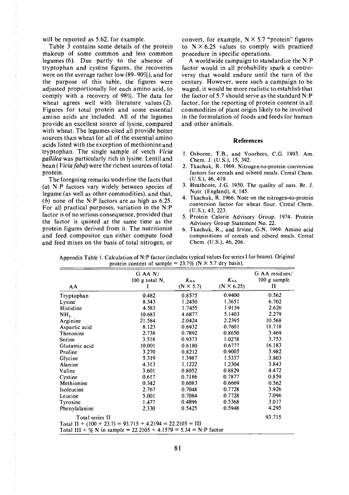will be reported as 5.62, for example.

Table 3 contains some details of the protein makeup of some common and less common legumes (6). Due partly to the absence of tryptophan and cystine figures, the recoveries were on the average rather low (89-90%), and for the purpose of this table, the figures were adjusted proportionally for each amino acid, to comply with a recovery of 98%. The data for wheat agrees well with literature values (2). Figures for total protein and some essential amino acids are included. All of the legumes provide an excellent source of lysine, compared with wheat. The legumes cited all provide better sources than wheat for all of the essential amino acids listed with the exception of methionine and tryptophan. The single sample of vetch Vicia gallilea was particularly rich in lysine. Lentil and bean (Vicia faba) were the richest sources of total protein.

化反应性 医血管瘤 化苯甲基 医心室 医皮肤病 医马德氏征 医舌骨的 医白色性血清

The foregoing remarks underline the facts that (a) N:P factors vary widely between species of legume (as well as other commodities), and that, (b) none of the N:P factors are as high as  $6.25$ . For all practical purposes, variation in the N:P factor is of no serious consequence, provided that the factor is quoted at the same time as the protein figures derived from it. The nutritionist and feed compositor can either compute food and feed mixes on the basis of total nitrogen, or convert, for example,  $N \times 5.7$  "protein" figures to  $N \times 6.25$  values to comply with practiced procedure in specific operations.

A worldwide campaign to standardize the N:P factor would in all probability spark a controversy that would endure until the turn of the century. However, were such a campaign to be waged, it would be more realistic to establish that the factor of 5.7 should serve as the standard N: P factor, for the reporting of protein content in all commodities of plant origin likely to be involved in the formulation of foods and feeds for human and other animals.

#### References

- 1. Osborne, T.B., and Voorhees, C.G. 1893. Am. Chem. J. (U.S.), 15, 392.
- 2. Tkachuk, R. 1969. Nitrogen-to-protein conversion factors for cereals and oilseed meals. Cereal Chem. (U.S.), 46, 419.
- 3. Heathcote, J.G. 1950. The quality of oats. Br. J. Nutr. (England), 4, 145.
- 4. Tkachuk, R. 1966. Note on the nitrogen-to-protein conversion factor for wheat flour. Cereal Chem. (U.S.), 43, 223.
- 5. Protein Calorie Advisory Group. 1974. Protein Advisory Group Statement No. 22.
- Tkachuk, R., and irvine, G.N. 1969. Amino acid compositions of cereals and oilseed meals. Cereal Chem. (U.S.), 46, 206.

| AA                                                               | $G$ AA N/<br>$100$ g total N, | $K_{AA}$<br>$(N \times 5.7)$ | $K_{AA}$<br>$(N \times 6.25)$ | G AA residues/<br>$100$ g sample<br>П |
|------------------------------------------------------------------|-------------------------------|------------------------------|-------------------------------|---------------------------------------|
| Tryptophan                                                       | 0.482                         | 0.8575                       | 0.9400                        | 0.562                                 |
| Lysine                                                           | 8.343                         | 1.2450                       | 1.3651                        | 6.702                                 |
| Histidine                                                        | 4.583                         | 1.7455                       | 1.9139                        | 2.626                                 |
| NH,                                                              | 10.683                        | 4.6877                       | 5.1403                        | 2.279                                 |
| Arginine                                                         | 21.584                        | 2.0424                       | 2.2395                        | 10.568                                |
| Aspartic acid                                                    | 8.123                         | 0.6932                       | 0.7601                        | 11.718                                |
| Threonine                                                        | 2.738                         | 0.7892                       | 0.8650                        | 3.469                                 |
| Serine                                                           | 3.518                         | 0.9373                       | 1.0278                        | 3.753                                 |
| Glutamic acid                                                    | 10.001                        | 0.6180                       | 0.6777                        | 16.183                                |
| Proline                                                          | 3.270                         | 0.8212                       | 0.9005                        | 3.982                                 |
| Glycine                                                          | 5.319                         | 1.3987                       | 1.5337                        | 3.803                                 |
| Alanine                                                          | 4.313                         | 1.1222                       | 1.2304                        | 3.843                                 |
| Valine                                                           | 3.601                         | 0.8052                       | 0.8829                        | 4.472                                 |
| Cystine                                                          | 0.617                         | 0.7186                       | 0.7877                        | 0.859                                 |
| Methionine                                                       | 0.342                         | 0.6083                       | 0.6669                        | 0.562                                 |
| Isoleucine                                                       | 2.767                         | 0.7048                       | 0.7728                        | 3.926                                 |
| Leucine                                                          | 5.001                         | 0.7084                       | 0.7728                        | 7.096                                 |
| Tyrosine                                                         | 1.477                         | 0,4896                       | 0.5368                        | 3.017                                 |
| Phenylalanine                                                    | 2.330                         | 0.5425                       | 0.5948                        | 4.295                                 |
| Total series II                                                  |                               |                              |                               | 93.715                                |
| Total II ÷ (100 ÷ 23.7) = 93.715 ÷ 4.2194 = 22.2105 = III        |                               |                              |                               |                                       |
| Total III ÷ % N in sample = 22.2105 ÷ 4.1579 = 5.34 = N:P factor |                               |                              |                               |                                       |

Appendix Table 1. Calculation of N:P factor (includes typical values for series I for beans). Original protein content of sample =  $23.7\%$  (N  $\times$  5.7 dry basis).